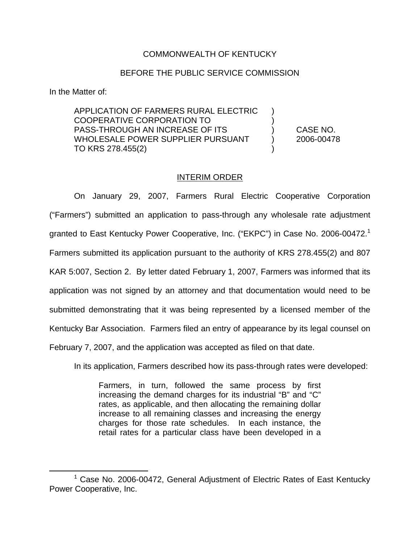## COMMONWEALTH OF KENTUCKY

## BEFORE THE PUBLIC SERVICE COMMISSION

In the Matter of:

APPLICATION OF FARMERS RURAL ELECTRIC ) COOPERATIVE CORPORATION TO ) PASS-THROUGH AN INCREASE OF ITS ) CASE NO. WHOLESALE POWER SUPPLIER PURSUANT (2006-00478) TO KRS 278.455(2)

## INTERIM ORDER

On January 29, 2007, Farmers Rural Electric Cooperative Corporation ("Farmers") submitted an application to pass-through any wholesale rate adjustment granted to East Kentucky Power Cooperative, Inc. ("EKPC") in Case No. 2006-00472.<sup>1</sup> Farmers submitted its application pursuant to the authority of KRS 278.455(2) and 807 KAR 5:007, Section 2. By letter dated February 1, 2007, Farmers was informed that its application was not signed by an attorney and that documentation would need to be submitted demonstrating that it was being represented by a licensed member of the Kentucky Bar Association. Farmers filed an entry of appearance by its legal counsel on February 7, 2007, and the application was accepted as filed on that date.

In its application, Farmers described how its pass-through rates were developed:

Farmers, in turn, followed the same process by first increasing the demand charges for its industrial "B" and "C" rates, as applicable, and then allocating the remaining dollar increase to all remaining classes and increasing the energy charges for those rate schedules. In each instance, the retail rates for a particular class have been developed in a

<sup>1</sup> Case No. 2006-00472, General Adjustment of Electric Rates of East Kentucky Power Cooperative, Inc.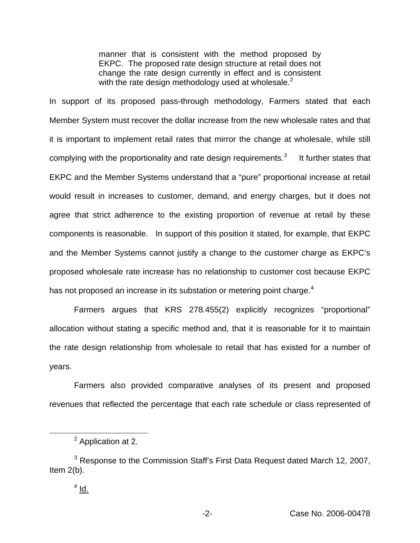manner that is consistent with the method proposed by EKPC. The proposed rate design structure at retail does not change the rate design currently in effect and is consistent with the rate design methodology used at wholesale. $<sup>2</sup>$ </sup>

In support of its proposed pass-through methodology, Farmers stated that each Member System must recover the dollar increase from the new wholesale rates and that it is important to implement retail rates that mirror the change at wholesale, while still complying with the proportionality and rate design requirements.<sup>3</sup> It further states that EKPC and the Member Systems understand that a "pure" proportional increase at retail would result in increases to customer, demand, and energy charges, but it does not agree that strict adherence to the existing proportion of revenue at retail by these components is reasonable. In support of this position it stated, for example, that EKPC and the Member Systems cannot justify a change to the customer charge as EKPC's proposed wholesale rate increase has no relationship to customer cost because EKPC has not proposed an increase in its substation or metering point charge.<sup>4</sup>

Farmers argues that KRS 278.455(2) explicitly recognizes "proportional" allocation without stating a specific method and, that it is reasonable for it to maintain the rate design relationship from wholesale to retail that has existed for a number of years.

Farmers also provided comparative analyses of its present and proposed revenues that reflected the percentage that each rate schedule or class represented of

<sup>&</sup>lt;sup>2</sup> Application at 2.

<sup>&</sup>lt;sup>3</sup> Response to the Commission Staff's First Data Request dated March 12, 2007, Item 2(b).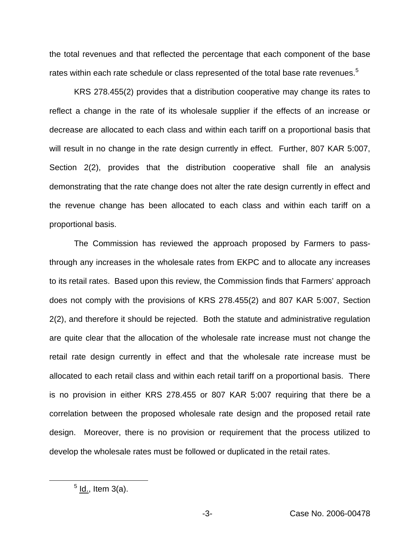the total revenues and that reflected the percentage that each component of the base rates within each rate schedule or class represented of the total base rate revenues.<sup>5</sup>

KRS 278.455(2) provides that a distribution cooperative may change its rates to reflect a change in the rate of its wholesale supplier if the effects of an increase or decrease are allocated to each class and within each tariff on a proportional basis that will result in no change in the rate design currently in effect. Further, 807 KAR 5:007, Section 2(2), provides that the distribution cooperative shall file an analysis demonstrating that the rate change does not alter the rate design currently in effect and the revenue change has been allocated to each class and within each tariff on a proportional basis.

The Commission has reviewed the approach proposed by Farmers to passthrough any increases in the wholesale rates from EKPC and to allocate any increases to its retail rates. Based upon this review, the Commission finds that Farmers' approach does not comply with the provisions of KRS 278.455(2) and 807 KAR 5:007, Section 2(2), and therefore it should be rejected. Both the statute and administrative regulation are quite clear that the allocation of the wholesale rate increase must not change the retail rate design currently in effect and that the wholesale rate increase must be allocated to each retail class and within each retail tariff on a proportional basis. There is no provision in either KRS 278.455 or 807 KAR 5:007 requiring that there be a correlation between the proposed wholesale rate design and the proposed retail rate design. Moreover, there is no provision or requirement that the process utilized to develop the wholesale rates must be followed or duplicated in the retail rates.

 $<sup>5</sup>$  ld., Item 3(a).</sup>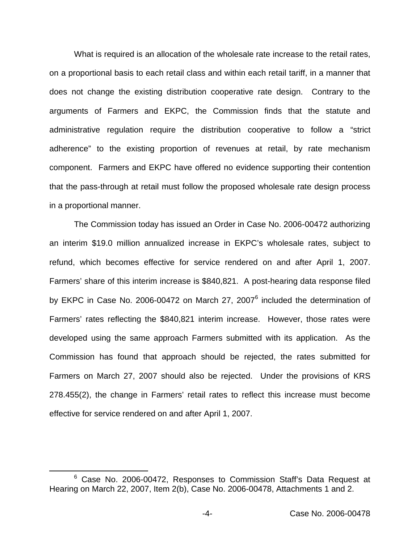What is required is an allocation of the wholesale rate increase to the retail rates, on a proportional basis to each retail class and within each retail tariff, in a manner that does not change the existing distribution cooperative rate design. Contrary to the arguments of Farmers and EKPC, the Commission finds that the statute and administrative regulation require the distribution cooperative to follow a "strict adherence" to the existing proportion of revenues at retail, by rate mechanism component. Farmers and EKPC have offered no evidence supporting their contention that the pass-through at retail must follow the proposed wholesale rate design process in a proportional manner.

The Commission today has issued an Order in Case No. 2006-00472 authorizing an interim \$19.0 million annualized increase in EKPC's wholesale rates, subject to refund, which becomes effective for service rendered on and after April 1, 2007. Farmers' share of this interim increase is \$840,821. A post-hearing data response filed by EKPC in Case No. 2006-00472 on March 27, 2007<sup>6</sup> included the determination of Farmers' rates reflecting the \$840,821 interim increase. However, those rates were developed using the same approach Farmers submitted with its application. As the Commission has found that approach should be rejected, the rates submitted for Farmers on March 27, 2007 should also be rejected. Under the provisions of KRS 278.455(2), the change in Farmers' retail rates to reflect this increase must become effective for service rendered on and after April 1, 2007.

<sup>&</sup>lt;sup>6</sup> Case No. 2006-00472, Responses to Commission Staff's Data Request at Hearing on March 22, 2007, Item 2(b), Case No. 2006-00478, Attachments 1 and 2.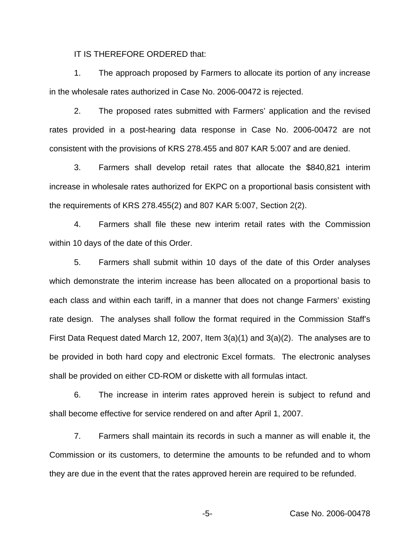IT IS THEREFORE ORDERED that:

1. The approach proposed by Farmers to allocate its portion of any increase in the wholesale rates authorized in Case No. 2006-00472 is rejected.

2. The proposed rates submitted with Farmers' application and the revised rates provided in a post-hearing data response in Case No. 2006-00472 are not consistent with the provisions of KRS 278.455 and 807 KAR 5:007 and are denied.

3. Farmers shall develop retail rates that allocate the \$840,821 interim increase in wholesale rates authorized for EKPC on a proportional basis consistent with the requirements of KRS 278.455(2) and 807 KAR 5:007, Section 2(2).

4. Farmers shall file these new interim retail rates with the Commission within 10 days of the date of this Order.

5. Farmers shall submit within 10 days of the date of this Order analyses which demonstrate the interim increase has been allocated on a proportional basis to each class and within each tariff, in a manner that does not change Farmers' existing rate design. The analyses shall follow the format required in the Commission Staff's First Data Request dated March 12, 2007, Item 3(a)(1) and 3(a)(2). The analyses are to be provided in both hard copy and electronic Excel formats. The electronic analyses shall be provided on either CD-ROM or diskette with all formulas intact.

6. The increase in interim rates approved herein is subject to refund and shall become effective for service rendered on and after April 1, 2007.

7. Farmers shall maintain its records in such a manner as will enable it, the Commission or its customers, to determine the amounts to be refunded and to whom they are due in the event that the rates approved herein are required to be refunded.

-5- Case No. 2006-00478